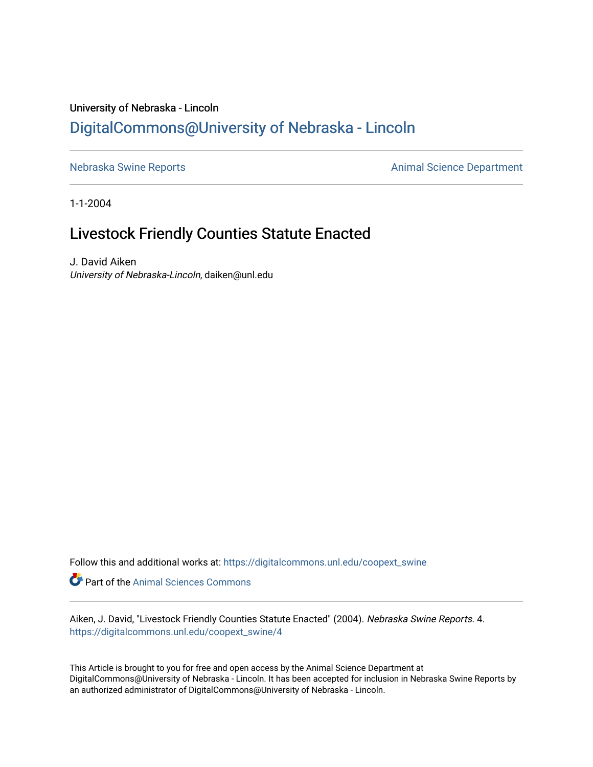# University of Nebraska - Lincoln [DigitalCommons@University of Nebraska - Lincoln](https://digitalcommons.unl.edu/)

[Nebraska Swine Reports](https://digitalcommons.unl.edu/coopext_swine) **Animal Science Department** 

1-1-2004

# Livestock Friendly Counties Statute Enacted

J. David Aiken University of Nebraska-Lincoln, daiken@unl.edu

Follow this and additional works at: [https://digitalcommons.unl.edu/coopext\\_swine](https://digitalcommons.unl.edu/coopext_swine?utm_source=digitalcommons.unl.edu%2Fcoopext_swine%2F4&utm_medium=PDF&utm_campaign=PDFCoverPages) 

**Part of the Animal Sciences Commons** 

Aiken, J. David, "Livestock Friendly Counties Statute Enacted" (2004). Nebraska Swine Reports. 4. [https://digitalcommons.unl.edu/coopext\\_swine/4](https://digitalcommons.unl.edu/coopext_swine/4?utm_source=digitalcommons.unl.edu%2Fcoopext_swine%2F4&utm_medium=PDF&utm_campaign=PDFCoverPages) 

This Article is brought to you for free and open access by the Animal Science Department at DigitalCommons@University of Nebraska - Lincoln. It has been accepted for inclusion in Nebraska Swine Reports by an authorized administrator of DigitalCommons@University of Nebraska - Lincoln.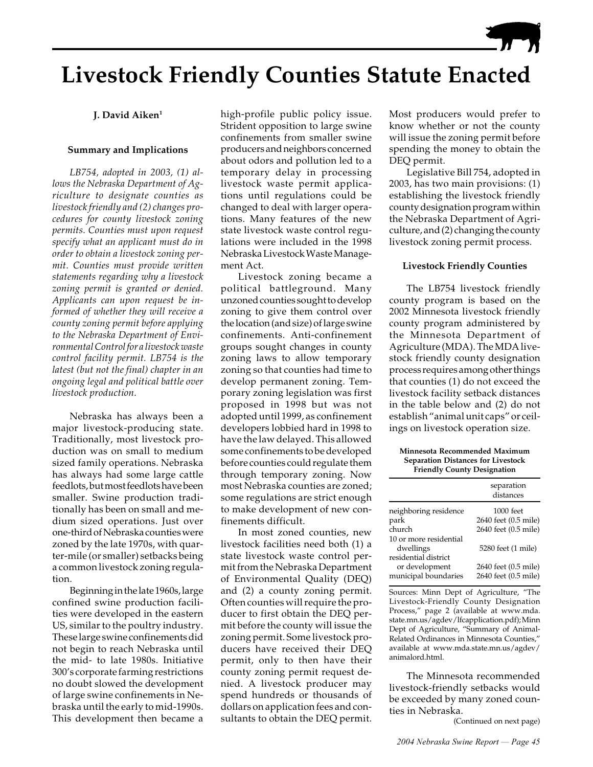

# **Livestock Friendly Counties Statute Enacted**

## **J. David Aiken1**

## **Summary and Implications**

*LB754, adopted in 2003, (1) allows the Nebraska Department of Agriculture to designate counties as livestock friendly and (2) changes procedures for county livestock zoning permits. Counties must upon request specify what an applicant must do in order to obtain a livestock zoning permit. Counties must provide written statements regarding why a livestock zoning permit is granted or denied. Applicants can upon request be informed of whether they will receive a county zoning permit before applying to the Nebraska Department of Environmental Control for a livestock waste control facility permit. LB754 is the latest (but not the final) chapter in an ongoing legal and political battle over livestock production.*

Nebraska has always been a major livestock-producing state. Traditionally, most livestock production was on small to medium sized family operations. Nebraska has always had some large cattle feedlots, but most feedlots have been smaller. Swine production traditionally has been on small and medium sized operations. Just over one-third of Nebraska counties were zoned by the late 1970s, with quarter-mile (or smaller) setbacks being a common livestock zoning regulation.

Beginning in the late 1960s, large confined swine production facilities were developed in the eastern US, similar to the poultry industry. These large swine confinements did not begin to reach Nebraska until the mid- to late 1980s. Initiative 300's corporate farming restrictions no doubt slowed the development of large swine confinements in Nebraska until the early to mid-1990s. This development then became a

high-profile public policy issue. Strident opposition to large swine confinements from smaller swine producers and neighbors concerned about odors and pollution led to a temporary delay in processing livestock waste permit applications until regulations could be changed to deal with larger operations. Many features of the new state livestock waste control regulations were included in the 1998 Nebraska Livestock Waste Management Act.

Livestock zoning became a political battleground. Many unzoned counties sought to develop zoning to give them control over the location (and size) of large swine confinements. Anti-confinement groups sought changes in county zoning laws to allow temporary zoning so that counties had time to develop permanent zoning. Temporary zoning legislation was first proposed in 1998 but was not adopted until 1999, as confinement developers lobbied hard in 1998 to have the law delayed. This allowed some confinements to be developed before counties could regulate them through temporary zoning. Now most Nebraska counties are zoned; some regulations are strict enough to make development of new confinements difficult.

In most zoned counties, new livestock facilities need both (1) a state livestock waste control permit from the Nebraska Department of Environmental Quality (DEQ) and (2) a county zoning permit. Often counties will require the producer to first obtain the DEQ permit before the county will issue the zoning permit. Some livestock producers have received their DEQ permit, only to then have their county zoning permit request denied. A livestock producer may spend hundreds or thousands of dollars on application fees and consultants to obtain the DEQ permit.

Most producers would prefer to know whether or not the county will issue the zoning permit before spending the money to obtain the DEQ permit.

Legislative Bill 754, adopted in 2003, has two main provisions: (1) establishing the livestock friendly county designation program within the Nebraska Department of Agriculture, and (2) changing the county livestock zoning permit process.

### **Livestock Friendly Counties**

The LB754 livestock friendly county program is based on the 2002 Minnesota livestock friendly county program administered by the Minnesota Department of Agriculture (MDA). The MDA livestock friendly county designation process requires among other things that counties (1) do not exceed the livestock facility setback distances in the table below and (2) do not establish "animal unit caps" or ceilings on livestock operation size.

**Minnesota Recommended Maximum Separation Distances for Livestock Friendly County Designation**

|                        | separation<br>distances |
|------------------------|-------------------------|
| neighboring residence  | 1000 feet               |
| park                   | 2640 feet (0.5 mile)    |
| church                 | 2640 feet (0.5 mile)    |
| 10 or more residential |                         |
| dwellings              | 5280 feet (1 mile)      |
| residential district   |                         |
| or development         | 2640 feet (0.5 mile)    |
| municipal boundaries   | 2640 feet (0.5 mile)    |

Sources: Minn Dept of Agriculture, "The Livestock-Friendly County Designation Process," page 2 (available at www.mda. state.mn.us/agdev/lfcapplication.pdf); Minn Dept of Agriculture, "Summary of Animal-Related Ordinances in Minnesota Counties," available at www.mda.state.mn.us/agdev/ animalord.html.

The Minnesota recommended livestock-friendly setbacks would be exceeded by many zoned counties in Nebraska.

(Continued on next page)